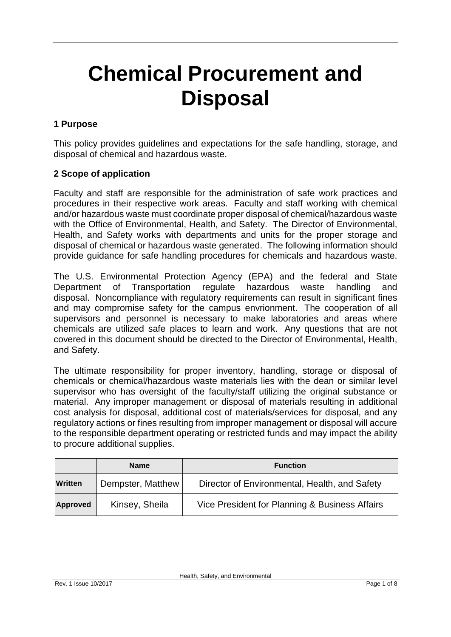# **Chemical Procurement and Disposal**

# **1 Purpose**

This policy provides guidelines and expectations for the safe handling, storage, and disposal of chemical and hazardous waste.

#### **2 Scope of application**

Faculty and staff are responsible for the administration of safe work practices and procedures in their respective work areas. Faculty and staff working with chemical and/or hazardous waste must coordinate proper disposal of chemical/hazardous waste with the Office of Environmental, Health, and Safety. The Director of Environmental, Health, and Safety works with departments and units for the proper storage and disposal of chemical or hazardous waste generated. The following information should provide guidance for safe handling procedures for chemicals and hazardous waste.

The U.S. Environmental Protection Agency (EPA) and the federal and State Department of Transportation regulate hazardous waste handling and disposal. Noncompliance with regulatory requirements can result in significant fines and may compromise safety for the campus envrionment. The cooperation of all supervisors and personnel is necessary to make laboratories and areas where chemicals are utilized safe places to learn and work. Any questions that are not covered in this document should be directed to the Director of Environmental, Health, and Safety.

The ultimate responsibility for proper inventory, handling, storage or disposal of chemicals or chemical/hazardous waste materials lies with the dean or similar level supervisor who has oversight of the faculty/staff utilizing the original substance or material. Any improper management or disposal of materials resulting in additional cost analysis for disposal, additional cost of materials/services for disposal, and any regulatory actions or fines resulting from improper management or disposal will accure to the responsible department operating or restricted funds and may impact the ability to procure additional supplies.

|                 | <b>Name</b>       | <b>Function</b>                                |  |
|-----------------|-------------------|------------------------------------------------|--|
| <b>Written</b>  | Dempster, Matthew | Director of Environmental, Health, and Safety  |  |
| <b>Approved</b> | Kinsey, Sheila    | Vice President for Planning & Business Affairs |  |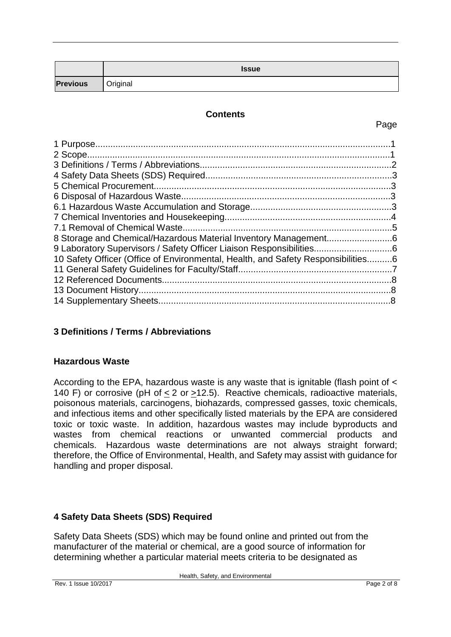|                 | <b>Issue</b> |
|-----------------|--------------|
| <b>Previous</b> | Original     |

#### **Contents**

#### Page

| 10 Safety Officer (Office of Environmental, Health, and Safety Responsibilities6 |  |
|----------------------------------------------------------------------------------|--|
|                                                                                  |  |
|                                                                                  |  |
|                                                                                  |  |
|                                                                                  |  |
|                                                                                  |  |

# **3 Definitions / Terms / Abbreviations**

#### **Hazardous Waste**

According to the EPA, hazardous waste is any waste that is ignitable (flash point of < 140 F) or corrosive (pH of < 2 or >12.5). Reactive chemicals, radioactive materials, poisonous materials, carcinogens, biohazards, compressed gasses, toxic chemicals, and infectious items and other specifically listed materials by the EPA are considered toxic or toxic waste. In addition, hazardous wastes may include byproducts and wastes from chemical reactions or unwanted commercial products and chemicals. Hazardous waste determinations are not always straight forward; therefore, the Office of Environmental, Health, and Safety may assist with guidance for handling and proper disposal.

# **4 Safety Data Sheets (SDS) Required**

Safety Data Sheets (SDS) which may be found online and printed out from the manufacturer of the material or chemical, are a good source of information for determining whether a particular material meets criteria to be designated as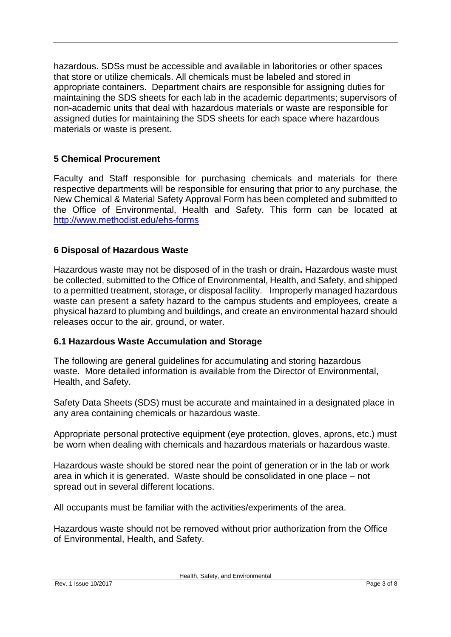hazardous. SDSs must be accessible and available in laboritories or other spaces that store or utilize chemicals. All chemicals must be labeled and stored in appropriate containers. Department chairs are responsible for assigning duties for maintaining the SDS sheets for each lab in the academic departments; supervisors of non-academic units that deal with hazardous materials or waste are responsible for assigned duties for maintaining the SDS sheets for each space where hazardous materials or waste is present.

# **5 Chemical Procurement**

Faculty and Staff responsible for purchasing chemicals and materials for there respective departments will be responsible for ensuring that prior to any purchase, the New Chemical & Material Safety Approval Form has been completed and submitted to the Office of Environmental, Health and Safety. This form can be located at <http://www.methodist.edu/ehs-forms>

# **6 Disposal of Hazardous Waste**

Hazardous waste may not be disposed of in the trash or drain**.** Hazardous waste must be collected, submitted to the Office of Environmental, Health, and Safety, and shipped to a permitted treatment, storage, or disposal facility. Improperly managed hazardous waste can present a safety hazard to the campus students and employees, create a physical hazard to plumbing and buildings, and create an environmental hazard should releases occur to the air, ground, or water.

# **6.1 Hazardous Waste Accumulation and Storage**

The following are general guidelines for accumulating and storing hazardous waste. More detailed information is available from the Director of Environmental, Health, and Safety.

Safety Data Sheets (SDS) must be accurate and maintained in a designated place in any area containing chemicals or hazardous waste.

Appropriate personal protective equipment (eye protection, gloves, aprons, etc.) must be worn when dealing with chemicals and hazardous materials or hazardous waste.

Hazardous waste should be stored near the point of generation or in the lab or work area in which it is generated. Waste should be consolidated in one place – not spread out in several different locations.

All occupants must be familiar with the activities/experiments of the area.

Hazardous waste should not be removed without prior authorization from the Office of Environmental, Health, and Safety.

Health, Safety, and Environmental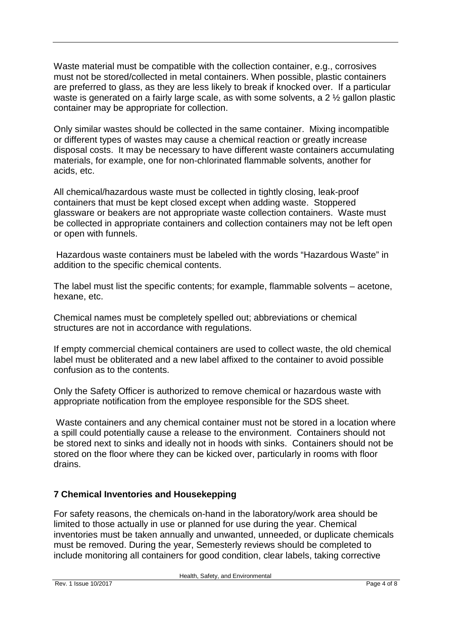Waste material must be compatible with the collection container, e.g., corrosives must not be stored/collected in metal containers. When possible, plastic containers are preferred to glass, as they are less likely to break if knocked over. If a particular waste is generated on a fairly large scale, as with some solvents, a 2 ½ gallon plastic container may be appropriate for collection.

Only similar wastes should be collected in the same container. Mixing incompatible or different types of wastes may cause a chemical reaction or greatly increase disposal costs. It may be necessary to have different waste containers accumulating materials, for example, one for non-chlorinated flammable solvents, another for acids, etc.

All chemical/hazardous waste must be collected in tightly closing, leak-proof containers that must be kept closed except when adding waste. Stoppered glassware or beakers are not appropriate waste collection containers. Waste must be collected in appropriate containers and collection containers may not be left open or open with funnels.

Hazardous waste containers must be labeled with the words "Hazardous Waste" in addition to the specific chemical contents.

The label must list the specific contents; for example, flammable solvents – acetone, hexane, etc.

Chemical names must be completely spelled out; abbreviations or chemical structures are not in accordance with regulations.

If empty commercial chemical containers are used to collect waste, the old chemical label must be obliterated and a new label affixed to the container to avoid possible confusion as to the contents.

Only the Safety Officer is authorized to remove chemical or hazardous waste with appropriate notification from the employee responsible for the SDS sheet.

Waste containers and any chemical container must not be stored in a location where a spill could potentially cause a release to the environment. Containers should not be stored next to sinks and ideally not in hoods with sinks. Containers should not be stored on the floor where they can be kicked over, particularly in rooms with floor drains.

#### **7 Chemical Inventories and Housekepping**

For safety reasons, the chemicals on-hand in the laboratory/work area should be limited to those actually in use or planned for use during the year. Chemical inventories must be taken annually and unwanted, unneeded, or duplicate chemicals must be removed. During the year, Semesterly reviews should be completed to include monitoring all containers for good condition, clear labels, taking corrective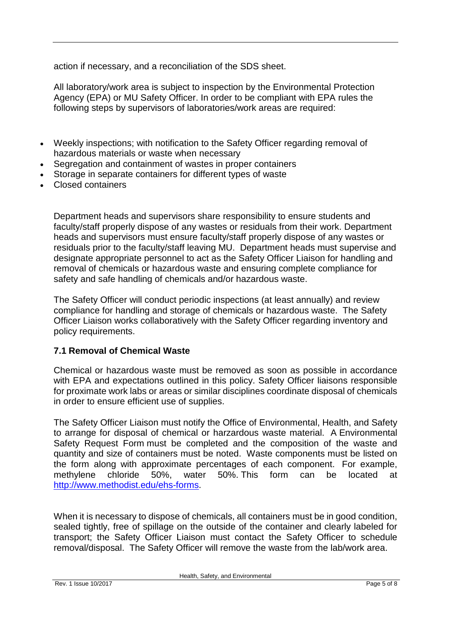action if necessary, and a reconciliation of the SDS sheet.

All laboratory/work area is subject to inspection by the Environmental Protection Agency (EPA) or MU Safety Officer. In order to be compliant with EPA rules the following steps by supervisors of laboratories/work areas are required:

- Weekly inspections; with notification to the Safety Officer regarding removal of hazardous materials or waste when necessary
- Segregation and containment of wastes in proper containers
- Storage in separate containers for different types of waste
- Closed containers

Department heads and supervisors share responsibility to ensure students and faculty/staff properly dispose of any wastes or residuals from their work. Department heads and supervisors must ensure faculty/staff properly dispose of any wastes or residuals prior to the faculty/staff leaving MU. Department heads must supervise and designate appropriate personnel to act as the Safety Officer Liaison for handling and removal of chemicals or hazardous waste and ensuring complete compliance for safety and safe handling of chemicals and/or hazardous waste.

The Safety Officer will conduct periodic inspections (at least annually) and review compliance for handling and storage of chemicals or hazardous waste. The Safety Officer Liaison works collaboratively with the Safety Officer regarding inventory and policy requirements.

#### **7.1 Removal of Chemical Waste**

Chemical or hazardous waste must be removed as soon as possible in accordance with EPA and expectations outlined in this policy. Safety Officer liaisons responsible for proximate work labs or areas or similar disciplines coordinate disposal of chemicals in order to ensure efficient use of supplies.

The Safety Officer Liaison must notify the Office of Environmental, Health, and Safety to arrange for disposal of chemical or harzardous waste material. A Environmental Safety Request Form must be completed and the composition of the waste and quantity and size of containers must be noted. Waste components must be listed on the form along with approximate percentages of each component. For example, methylene chloride 50%, water 50%. This form can be located at [http://www.methodist.edu/ehs-forms.](http://www.methodist.edu/ehs-forms)

When it is necessary to dispose of chemicals, all containers must be in good condition, sealed tightly, free of spillage on the outside of the container and clearly labeled for transport; the Safety Officer Liaison must contact the Safety Officer to schedule removal/disposal. The Safety Officer will remove the waste from the lab/work area.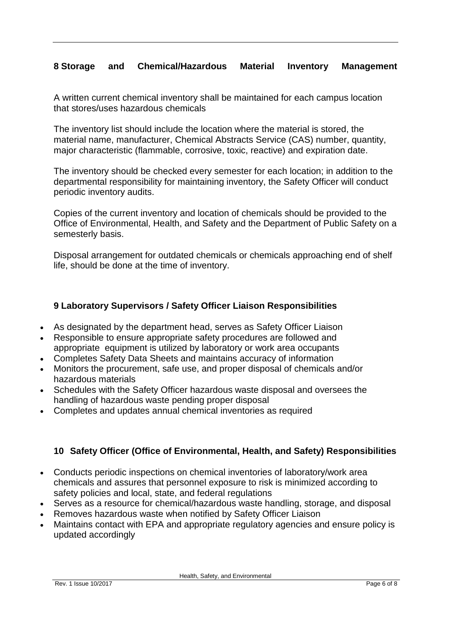# **8 Storage and Chemical/Hazardous Material Inventory Management**

A written current chemical inventory shall be maintained for each campus location that stores/uses hazardous chemicals

The inventory list should include the location where the material is stored, the material name, manufacturer, Chemical Abstracts Service (CAS) number, quantity, major characteristic (flammable, corrosive, toxic, reactive) and expiration date.

The inventory should be checked every semester for each location; in addition to the departmental responsibility for maintaining inventory, the Safety Officer will conduct periodic inventory audits.

Copies of the current inventory and location of chemicals should be provided to the Office of Environmental, Health, and Safety and the Department of Public Safety on a semesterly basis.

Disposal arrangement for outdated chemicals or chemicals approaching end of shelf life, should be done at the time of inventory.

# **9 Laboratory Supervisors / Safety Officer Liaison Responsibilities**

- As designated by the department head, serves as Safety Officer Liaison
- Responsible to ensure appropriate safety procedures are followed and appropriate equipment is utilized by laboratory or work area occupants
- Completes Safety Data Sheets and maintains accuracy of information
- Monitors the procurement, safe use, and proper disposal of chemicals and/or hazardous materials
- Schedules with the Safety Officer hazardous waste disposal and oversees the handling of hazardous waste pending proper disposal
- Completes and updates annual chemical inventories as required

# **10 Safety Officer (Office of Environmental, Health, and Safety) Responsibilities**

- Conducts periodic inspections on chemical inventories of laboratory/work area chemicals and assures that personnel exposure to risk is minimized according to safety policies and local, state, and federal regulations
- Serves as a resource for chemical/hazardous waste handling, storage, and disposal
- Removes hazardous waste when notified by Safety Officer Liaison
- Maintains contact with EPA and appropriate regulatory agencies and ensure policy is updated accordingly

Health, Safety, and Environmental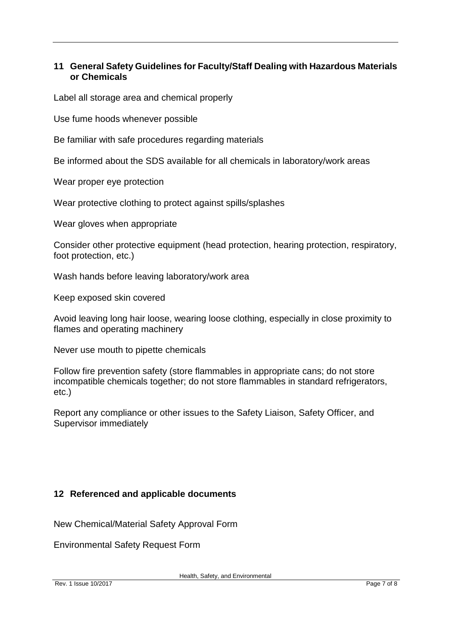# **11 General Safety Guidelines for Faculty/Staff Dealing with Hazardous Materials or Chemicals**

Label all storage area and chemical properly

Use fume hoods whenever possible

Be familiar with safe procedures regarding materials

Be informed about the SDS available for all chemicals in laboratory/work areas

Wear proper eye protection

Wear protective clothing to protect against spills/splashes

Wear gloves when appropriate

Consider other protective equipment (head protection, hearing protection, respiratory, foot protection, etc.)

Wash hands before leaving laboratory/work area

Keep exposed skin covered

Avoid leaving long hair loose, wearing loose clothing, especially in close proximity to flames and operating machinery

Never use mouth to pipette chemicals

Follow fire prevention safety (store flammables in appropriate cans; do not store incompatible chemicals together; do not store flammables in standard refrigerators, etc.)

Report any compliance or other issues to the Safety Liaison, Safety Officer, and Supervisor immediately

#### **12 Referenced and applicable documents**

New Chemical/Material Safety Approval Form

Environmental Safety Request Form

Health, Safety, and Environmental